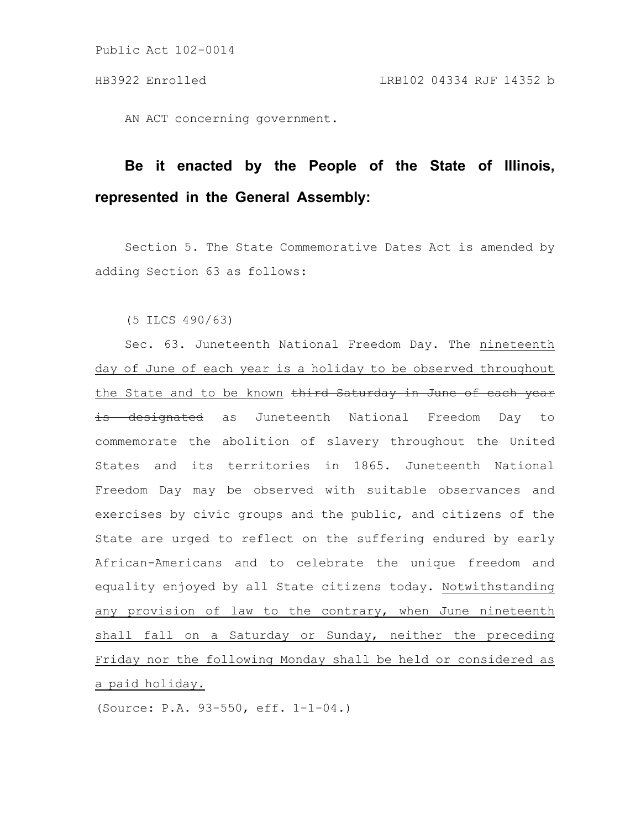AN ACT concerning government.

# **Be it enacted by the People of the State of Illinois, represented in the General Assembly:**

Section 5. The State Commemorative Dates Act is amended by adding Section 63 as follows:

(5 ILCS 490/63)

Sec. 63. Juneteenth National Freedom Day. The nineteenth day of June of each year is a holiday to be observed throughout the State and to be known third Saturday in June of each year is designated as Juneteenth National Freedom Day to commemorate the abolition of slavery throughout the United States and its territories in 1865. Juneteenth National Freedom Day may be observed with suitable observances and exercises by civic groups and the public, and citizens of the State are urged to reflect on the suffering endured by early African-Americans and to celebrate the unique freedom and equality enjoyed by all State citizens today. Notwithstanding any provision of law to the contrary, when June nineteenth shall fall on a Saturday or Sunday, neither the preceding Friday nor the following Monday shall be held or considered as a paid holiday.

(Source: P.A. 93-550, eff. 1-1-04.)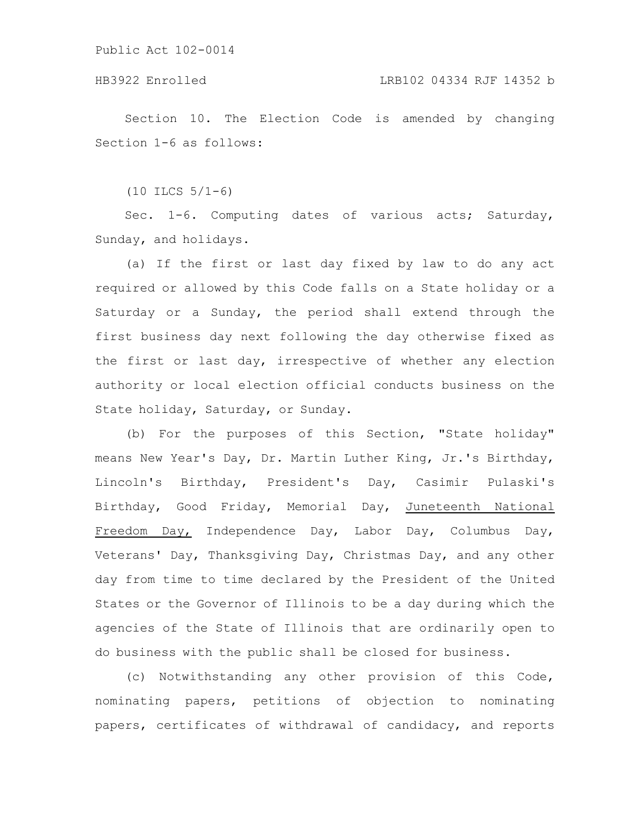### HB3922 Enrolled LRB102 04334 RJF 14352 b

Section 10. The Election Code is amended by changing Section 1-6 as follows:

 $(10$  ILCS  $5/1-6)$ 

Sec. 1-6. Computing dates of various acts; Saturday, Sunday, and holidays.

(a) If the first or last day fixed by law to do any act required or allowed by this Code falls on a State holiday or a Saturday or a Sunday, the period shall extend through the first business day next following the day otherwise fixed as the first or last day, irrespective of whether any election authority or local election official conducts business on the State holiday, Saturday, or Sunday.

(b) For the purposes of this Section, "State holiday" means New Year's Day, Dr. Martin Luther King, Jr.'s Birthday, Lincoln's Birthday, President's Day, Casimir Pulaski's Birthday, Good Friday, Memorial Day, Juneteenth National Freedom Day, Independence Day, Labor Day, Columbus Day, Veterans' Day, Thanksgiving Day, Christmas Day, and any other day from time to time declared by the President of the United States or the Governor of Illinois to be a day during which the agencies of the State of Illinois that are ordinarily open to do business with the public shall be closed for business.

(c) Notwithstanding any other provision of this Code, nominating papers, petitions of objection to nominating papers, certificates of withdrawal of candidacy, and reports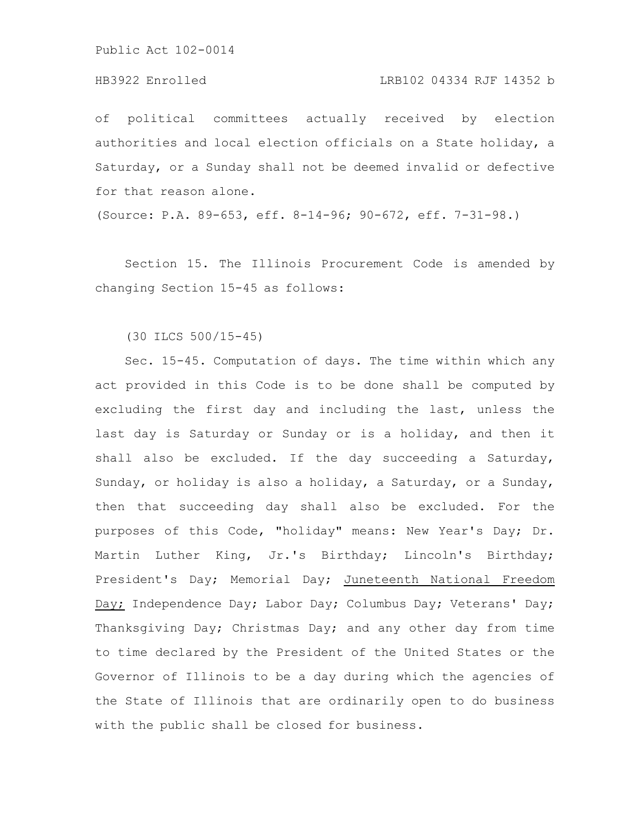#### HB3922 Enrolled LRB102 04334 RJF 14352 b

of political committees actually received by election authorities and local election officials on a State holiday, a Saturday, or a Sunday shall not be deemed invalid or defective for that reason alone.

(Source: P.A. 89-653, eff. 8-14-96; 90-672, eff. 7-31-98.)

Section 15. The Illinois Procurement Code is amended by changing Section 15-45 as follows:

#### (30 ILCS 500/15-45)

Sec. 15-45. Computation of days. The time within which any act provided in this Code is to be done shall be computed by excluding the first day and including the last, unless the last day is Saturday or Sunday or is a holiday, and then it shall also be excluded. If the day succeeding a Saturday, Sunday, or holiday is also a holiday, a Saturday, or a Sunday, then that succeeding day shall also be excluded. For the purposes of this Code, "holiday" means: New Year's Day; Dr. Martin Luther King, Jr.'s Birthday; Lincoln's Birthday; President's Day; Memorial Day; Juneteenth National Freedom Day; Independence Day; Labor Day; Columbus Day; Veterans' Day; Thanksgiving Day; Christmas Day; and any other day from time to time declared by the President of the United States or the Governor of Illinois to be a day during which the agencies of the State of Illinois that are ordinarily open to do business with the public shall be closed for business.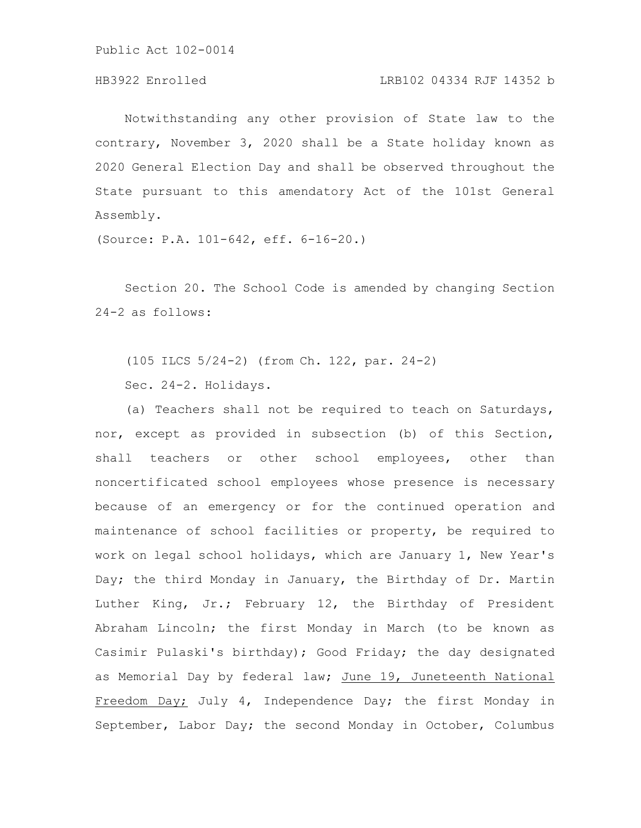# HB3922 Enrolled LRB102 04334 RJF 14352 b

Notwithstanding any other provision of State law to the contrary, November 3, 2020 shall be a State holiday known as 2020 General Election Day and shall be observed throughout the State pursuant to this amendatory Act of the 101st General Assembly.

(Source: P.A. 101-642, eff. 6-16-20.)

Section 20. The School Code is amended by changing Section 24-2 as follows:

(105 ILCS 5/24-2) (from Ch. 122, par. 24-2) Sec. 24-2. Holidays.

(a) Teachers shall not be required to teach on Saturdays, nor, except as provided in subsection (b) of this Section, shall teachers or other school employees, other than noncertificated school employees whose presence is necessary because of an emergency or for the continued operation and maintenance of school facilities or property, be required to work on legal school holidays, which are January 1, New Year's Day; the third Monday in January, the Birthday of Dr. Martin Luther King, Jr.; February 12, the Birthday of President Abraham Lincoln; the first Monday in March (to be known as Casimir Pulaski's birthday); Good Friday; the day designated as Memorial Day by federal law; June 19, Juneteenth National Freedom Day; July 4, Independence Day; the first Monday in September, Labor Day; the second Monday in October, Columbus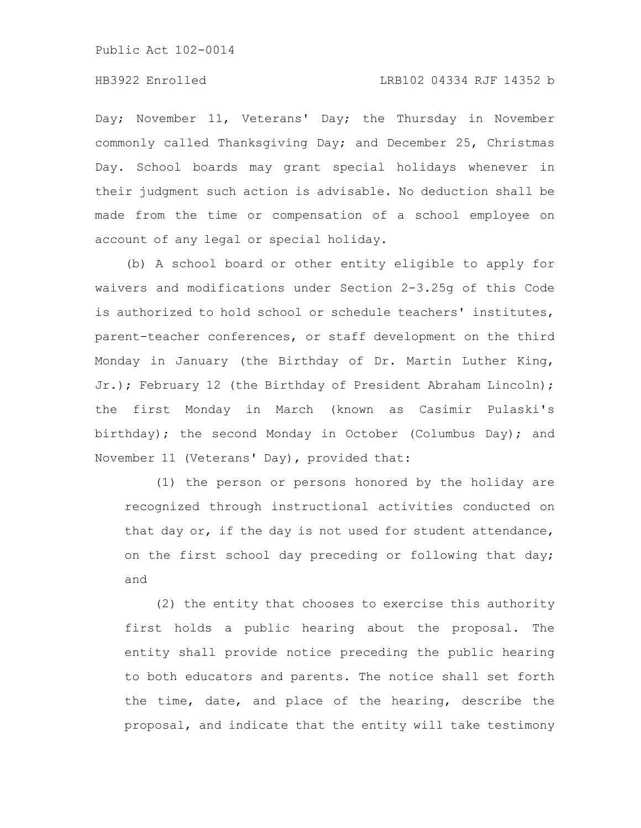### HB3922 Enrolled LRB102 04334 RJF 14352 b

Day; November 11, Veterans' Day; the Thursday in November commonly called Thanksgiving Day; and December 25, Christmas Day. School boards may grant special holidays whenever in their judgment such action is advisable. No deduction shall be made from the time or compensation of a school employee on account of any legal or special holiday.

(b) A school board or other entity eligible to apply for waivers and modifications under Section 2-3.25g of this Code is authorized to hold school or schedule teachers' institutes, parent-teacher conferences, or staff development on the third Monday in January (the Birthday of Dr. Martin Luther King, Jr.); February 12 (the Birthday of President Abraham Lincoln); the first Monday in March (known as Casimir Pulaski's birthday); the second Monday in October (Columbus Day); and November 11 (Veterans' Day), provided that:

(1) the person or persons honored by the holiday are recognized through instructional activities conducted on that day or, if the day is not used for student attendance, on the first school day preceding or following that day; and

(2) the entity that chooses to exercise this authority first holds a public hearing about the proposal. The entity shall provide notice preceding the public hearing to both educators and parents. The notice shall set forth the time, date, and place of the hearing, describe the proposal, and indicate that the entity will take testimony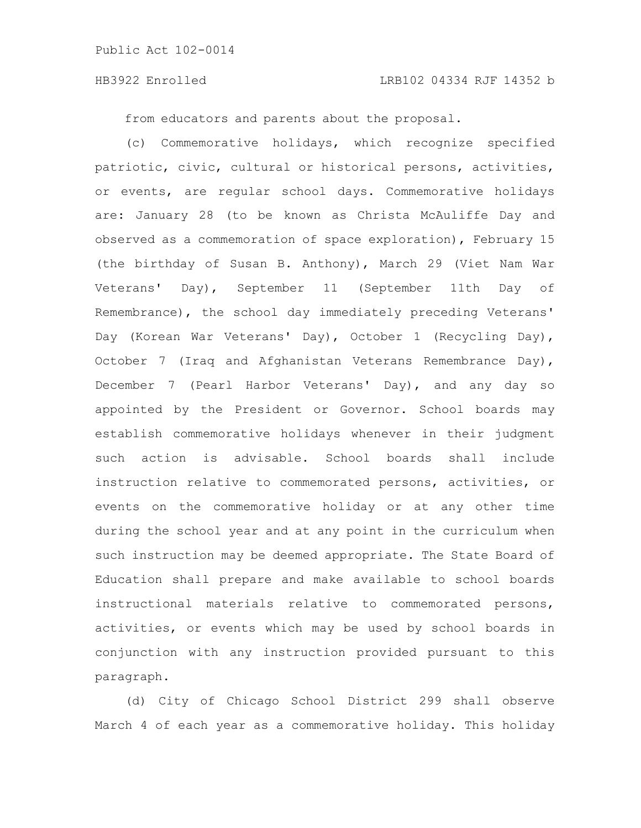#### HB3922 Enrolled LRB102 04334 RJF 14352 b

from educators and parents about the proposal.

(c) Commemorative holidays, which recognize specified patriotic, civic, cultural or historical persons, activities, or events, are regular school days. Commemorative holidays are: January 28 (to be known as Christa McAuliffe Day and observed as a commemoration of space exploration), February 15 (the birthday of Susan B. Anthony), March 29 (Viet Nam War Veterans' Day), September 11 (September 11th Day of Remembrance), the school day immediately preceding Veterans' Day (Korean War Veterans' Day), October 1 (Recycling Day), October 7 (Iraq and Afghanistan Veterans Remembrance Day), December 7 (Pearl Harbor Veterans' Day), and any day so appointed by the President or Governor. School boards may establish commemorative holidays whenever in their judgment such action is advisable. School boards shall include instruction relative to commemorated persons, activities, or events on the commemorative holiday or at any other time during the school year and at any point in the curriculum when such instruction may be deemed appropriate. The State Board of Education shall prepare and make available to school boards instructional materials relative to commemorated persons, activities, or events which may be used by school boards in conjunction with any instruction provided pursuant to this paragraph.

(d) City of Chicago School District 299 shall observe March 4 of each year as a commemorative holiday. This holiday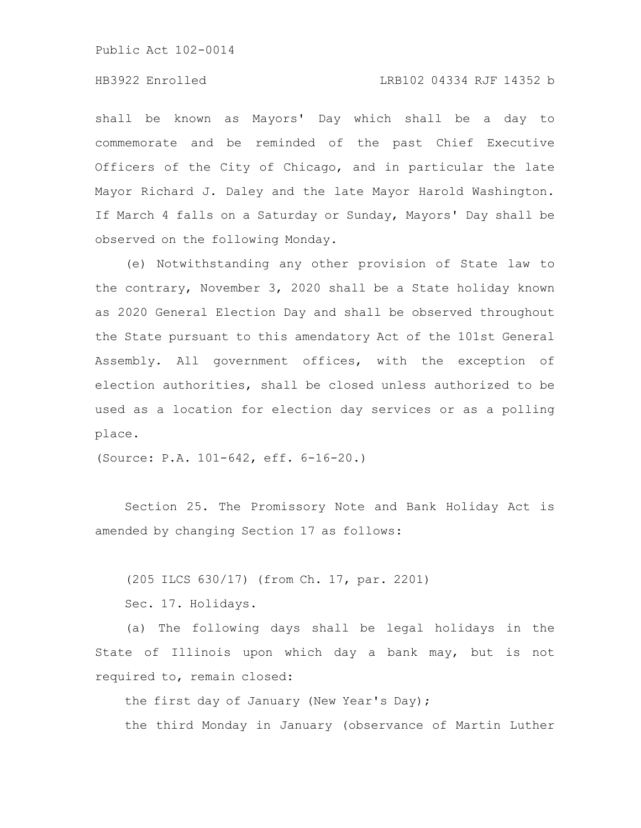### HB3922 Enrolled LRB102 04334 RJF 14352 b

shall be known as Mayors' Day which shall be a day to commemorate and be reminded of the past Chief Executive Officers of the City of Chicago, and in particular the late Mayor Richard J. Daley and the late Mayor Harold Washington. If March 4 falls on a Saturday or Sunday, Mayors' Day shall be observed on the following Monday.

(e) Notwithstanding any other provision of State law to the contrary, November 3, 2020 shall be a State holiday known as 2020 General Election Day and shall be observed throughout the State pursuant to this amendatory Act of the 101st General Assembly. All government offices, with the exception of election authorities, shall be closed unless authorized to be used as a location for election day services or as a polling place.

(Source: P.A. 101-642, eff. 6-16-20.)

Section 25. The Promissory Note and Bank Holiday Act is amended by changing Section 17 as follows:

(205 ILCS 630/17) (from Ch. 17, par. 2201)

Sec. 17. Holidays.

(a) The following days shall be legal holidays in the State of Illinois upon which day a bank may, but is not required to, remain closed:

the first day of January (New Year's Day);

the third Monday in January (observance of Martin Luther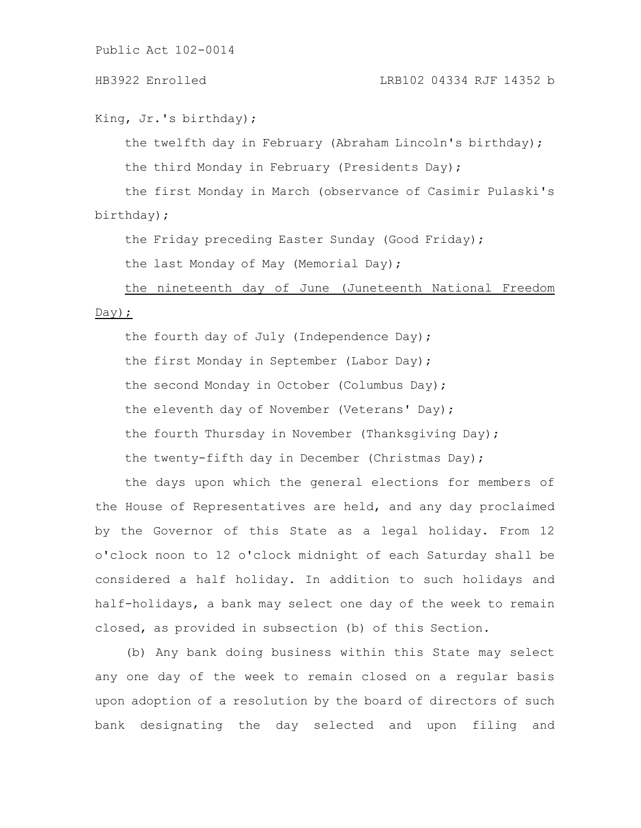### HB3922 Enrolled LRB102 04334 RJF 14352 b

King, Jr.'s birthday);

the twelfth day in February (Abraham Lincoln's birthday);

the third Monday in February (Presidents Day);

the first Monday in March (observance of Casimir Pulaski's birthday);

the Friday preceding Easter Sunday (Good Friday);

the last Monday of May (Memorial Day);

the nineteenth day of June (Juneteenth National Freedom

#### Day);

the fourth day of July (Independence Day); the first Monday in September (Labor Day); the second Monday in October (Columbus Day); the eleventh day of November (Veterans' Day); the fourth Thursday in November (Thanksgiving Day); the twenty-fifth day in December (Christmas Day);

the days upon which the general elections for members of the House of Representatives are held, and any day proclaimed by the Governor of this State as a legal holiday. From 12 o'clock noon to 12 o'clock midnight of each Saturday shall be considered a half holiday. In addition to such holidays and half-holidays, a bank may select one day of the week to remain closed, as provided in subsection (b) of this Section.

(b) Any bank doing business within this State may select any one day of the week to remain closed on a regular basis upon adoption of a resolution by the board of directors of such bank designating the day selected and upon filing and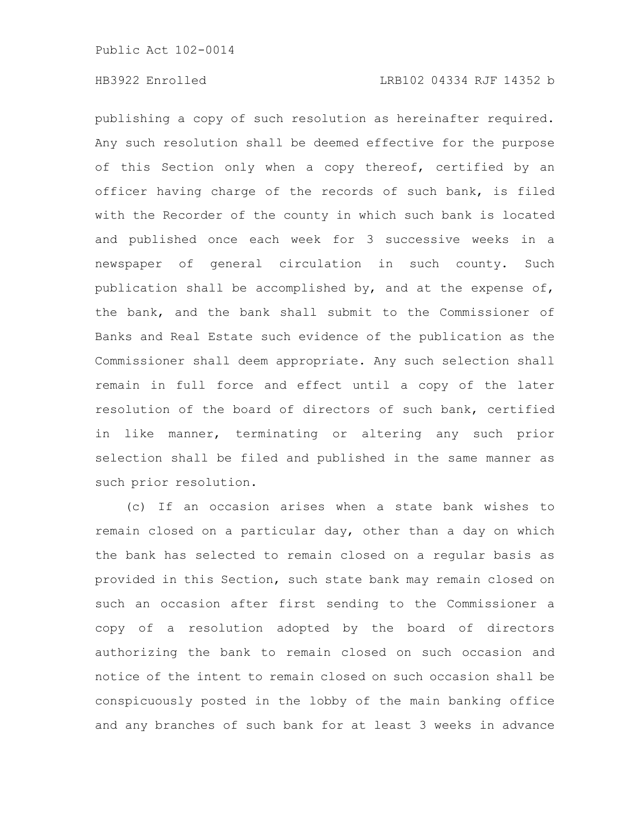publishing a copy of such resolution as hereinafter required. Any such resolution shall be deemed effective for the purpose of this Section only when a copy thereof, certified by an officer having charge of the records of such bank, is filed with the Recorder of the county in which such bank is located and published once each week for 3 successive weeks in a newspaper of general circulation in such county. Such publication shall be accomplished by, and at the expense of, the bank, and the bank shall submit to the Commissioner of Banks and Real Estate such evidence of the publication as the Commissioner shall deem appropriate. Any such selection shall remain in full force and effect until a copy of the later resolution of the board of directors of such bank, certified in like manner, terminating or altering any such prior selection shall be filed and published in the same manner as such prior resolution.

(c) If an occasion arises when a state bank wishes to remain closed on a particular day, other than a day on which the bank has selected to remain closed on a regular basis as provided in this Section, such state bank may remain closed on such an occasion after first sending to the Commissioner a copy of a resolution adopted by the board of directors authorizing the bank to remain closed on such occasion and notice of the intent to remain closed on such occasion shall be conspicuously posted in the lobby of the main banking office and any branches of such bank for at least 3 weeks in advance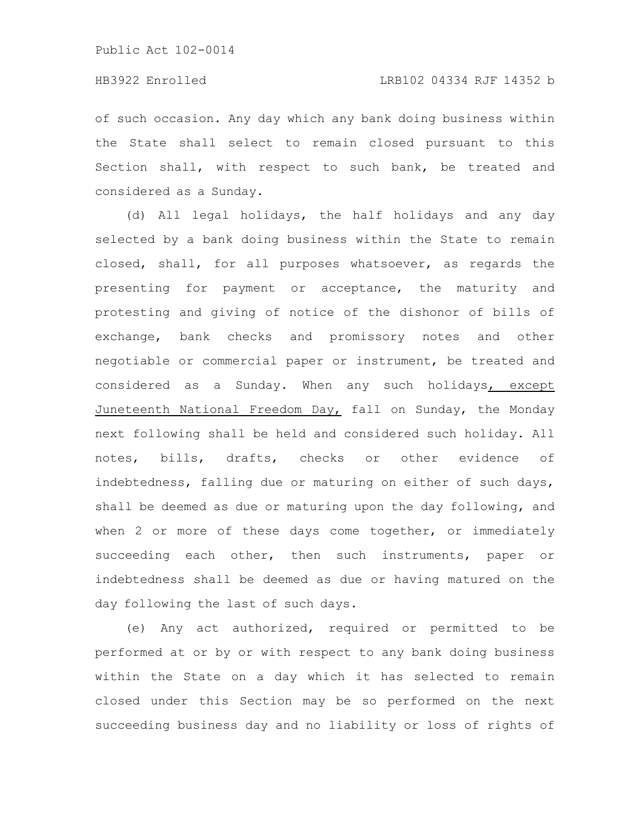## HB3922 Enrolled LRB102 04334 RJF 14352 b

of such occasion. Any day which any bank doing business within the State shall select to remain closed pursuant to this Section shall, with respect to such bank, be treated and considered as a Sunday.

(d) All legal holidays, the half holidays and any day selected by a bank doing business within the State to remain closed, shall, for all purposes whatsoever, as regards the presenting for payment or acceptance, the maturity and protesting and giving of notice of the dishonor of bills of exchange, bank checks and promissory notes and other negotiable or commercial paper or instrument, be treated and considered as a Sunday. When any such holidays, except Juneteenth National Freedom Day, fall on Sunday, the Monday next following shall be held and considered such holiday. All notes, bills, drafts, checks or other evidence of indebtedness, falling due or maturing on either of such days, shall be deemed as due or maturing upon the day following, and when 2 or more of these days come together, or immediately succeeding each other, then such instruments, paper or indebtedness shall be deemed as due or having matured on the day following the last of such days.

(e) Any act authorized, required or permitted to be performed at or by or with respect to any bank doing business within the State on a day which it has selected to remain closed under this Section may be so performed on the next succeeding business day and no liability or loss of rights of